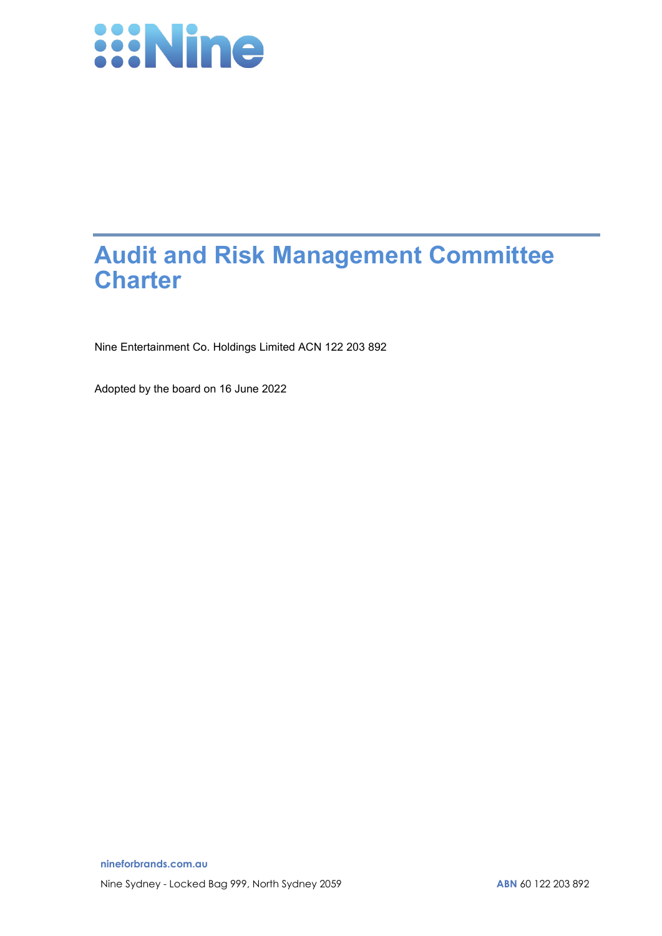

# **Audit and Risk Management Committee Charter**

Nine Entertainment Co. Holdings Limited ACN 122 203 892

Adopted by the board on 16 June 2022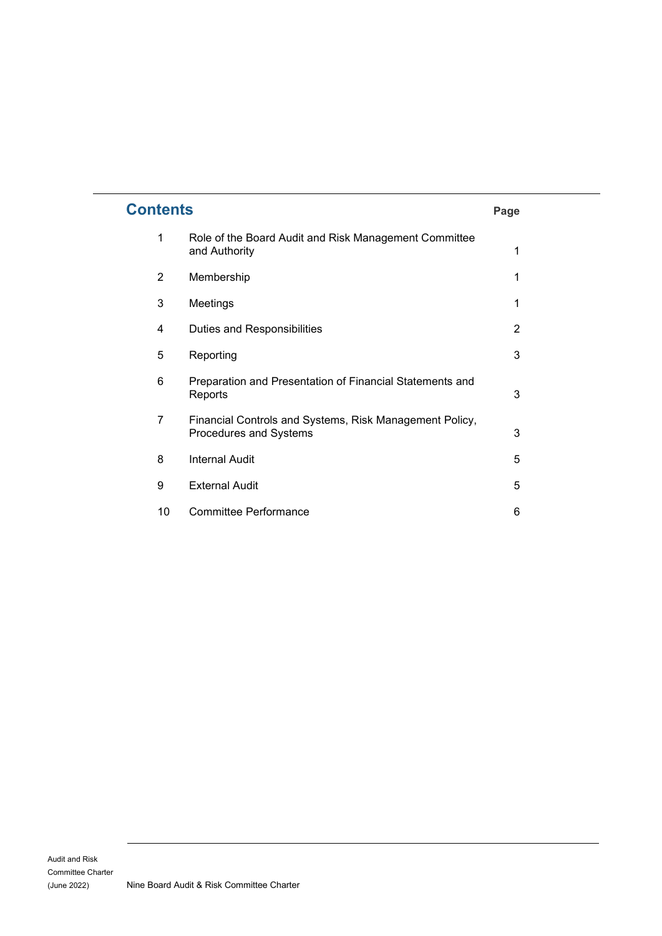| <b>Contents</b> |                                                                                   | Page |
|-----------------|-----------------------------------------------------------------------------------|------|
| 1               | Role of the Board Audit and Risk Management Committee<br>and Authority            | 1    |
| 2               | Membership                                                                        | 1    |
| 3               | Meetings                                                                          | 1    |
| 4               | Duties and Responsibilities                                                       | 2    |
| 5               | Reporting                                                                         | 3    |
| 6               | Preparation and Presentation of Financial Statements and<br>Reports               | 3    |
| 7               | Financial Controls and Systems, Risk Management Policy,<br>Procedures and Systems | 3    |
| 8               | <b>Internal Audit</b>                                                             | 5    |
| 9               | <b>External Audit</b>                                                             | 5    |
| 10              | <b>Committee Performance</b>                                                      | 6    |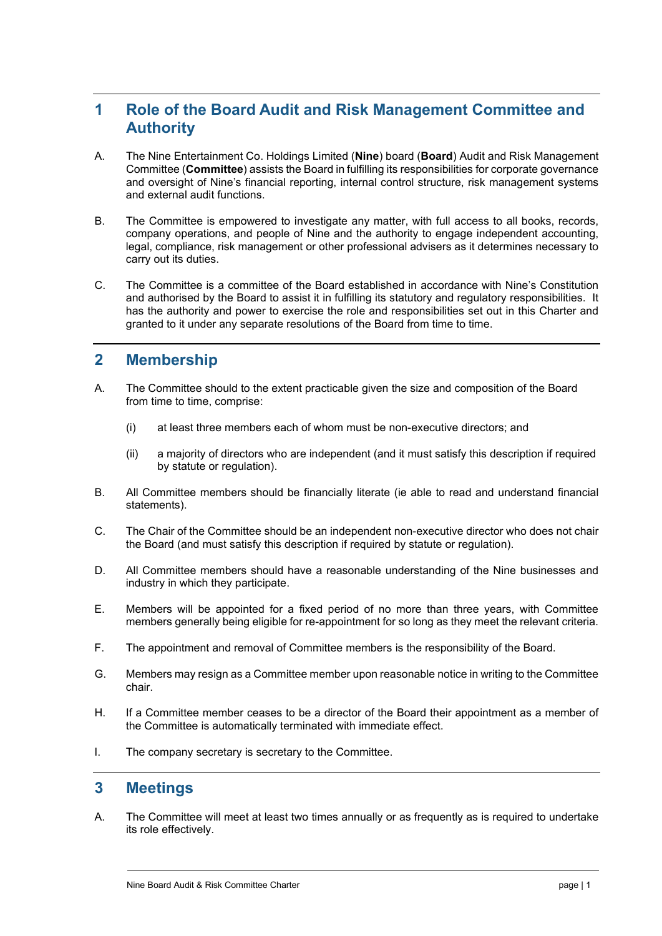# **1 Role of the Board Audit and Risk Management Committee and Authority**

- A. The Nine Entertainment Co. Holdings Limited (**Nine**) board (**Board**) Audit and Risk Management Committee (**Committee**) assists the Board in fulfilling its responsibilities for corporate governance and oversight of Nine's financial reporting, internal control structure, risk management systems and external audit functions.
- B. The Committee is empowered to investigate any matter, with full access to all books, records, company operations, and people of Nine and the authority to engage independent accounting, legal, compliance, risk management or other professional advisers as it determines necessary to carry out its duties.
- C. The Committee is a committee of the Board established in accordance with Nine's Constitution and authorised by the Board to assist it in fulfilling its statutory and regulatory responsibilities. It has the authority and power to exercise the role and responsibilities set out in this Charter and granted to it under any separate resolutions of the Board from time to time.

## **2 Membership**

- A. The Committee should to the extent practicable given the size and composition of the Board from time to time, comprise:
	- (i) at least three members each of whom must be non-executive directors; and
	- (ii) a majority of directors who are independent (and it must satisfy this description if required by statute or regulation).
- B. All Committee members should be financially literate (ie able to read and understand financial statements).
- C. The Chair of the Committee should be an independent non-executive director who does not chair the Board (and must satisfy this description if required by statute or regulation).
- D. All Committee members should have a reasonable understanding of the Nine businesses and industry in which they participate.
- E. Members will be appointed for a fixed period of no more than three years, with Committee members generally being eligible for re-appointment for so long as they meet the relevant criteria.
- F. The appointment and removal of Committee members is the responsibility of the Board.
- G. Members may resign as a Committee member upon reasonable notice in writing to the Committee chair.
- H. If a Committee member ceases to be a director of the Board their appointment as a member of the Committee is automatically terminated with immediate effect.
- I. The company secretary is secretary to the Committee.

#### **3 Meetings**

A. The Committee will meet at least two times annually or as frequently as is required to undertake its role effectively.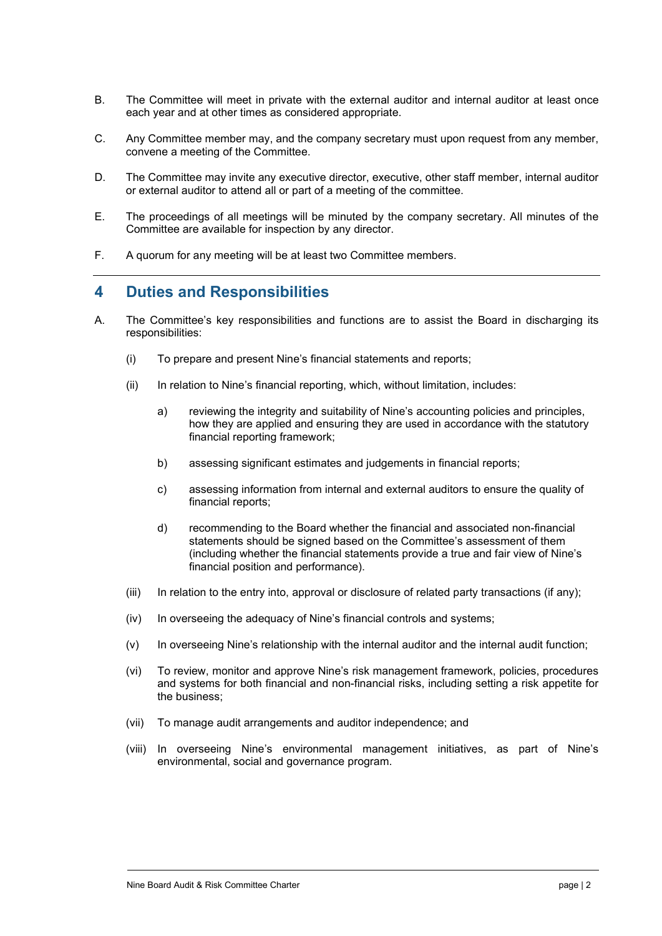- B. The Committee will meet in private with the external auditor and internal auditor at least once each year and at other times as considered appropriate.
- C. Any Committee member may, and the company secretary must upon request from any member, convene a meeting of the Committee.
- D. The Committee may invite any executive director, executive, other staff member, internal auditor or external auditor to attend all or part of a meeting of the committee.
- E. The proceedings of all meetings will be minuted by the company secretary. All minutes of the Committee are available for inspection by any director.
- F. A quorum for any meeting will be at least two Committee members.

#### **4 Duties and Responsibilities**

- A. The Committee's key responsibilities and functions are to assist the Board in discharging its responsibilities:
	- (i) To prepare and present Nine's financial statements and reports;
	- (ii) In relation to Nine's financial reporting, which, without limitation, includes:
		- a) reviewing the integrity and suitability of Nine's accounting policies and principles, how they are applied and ensuring they are used in accordance with the statutory financial reporting framework;
		- b) assessing significant estimates and judgements in financial reports;
		- c) assessing information from internal and external auditors to ensure the quality of financial reports;
		- d) recommending to the Board whether the financial and associated non-financial statements should be signed based on the Committee's assessment of them (including whether the financial statements provide a true and fair view of Nine's financial position and performance).
	- (iii) In relation to the entry into, approval or disclosure of related party transactions (if any);
	- (iv) In overseeing the adequacy of Nine's financial controls and systems;
	- (v) In overseeing Nine's relationship with the internal auditor and the internal audit function;
	- (vi) To review, monitor and approve Nine's risk management framework, policies, procedures and systems for both financial and non-financial risks, including setting a risk appetite for the business;
	- (vii) To manage audit arrangements and auditor independence; and
	- (viii) In overseeing Nine's environmental management initiatives, as part of Nine's environmental, social and governance program.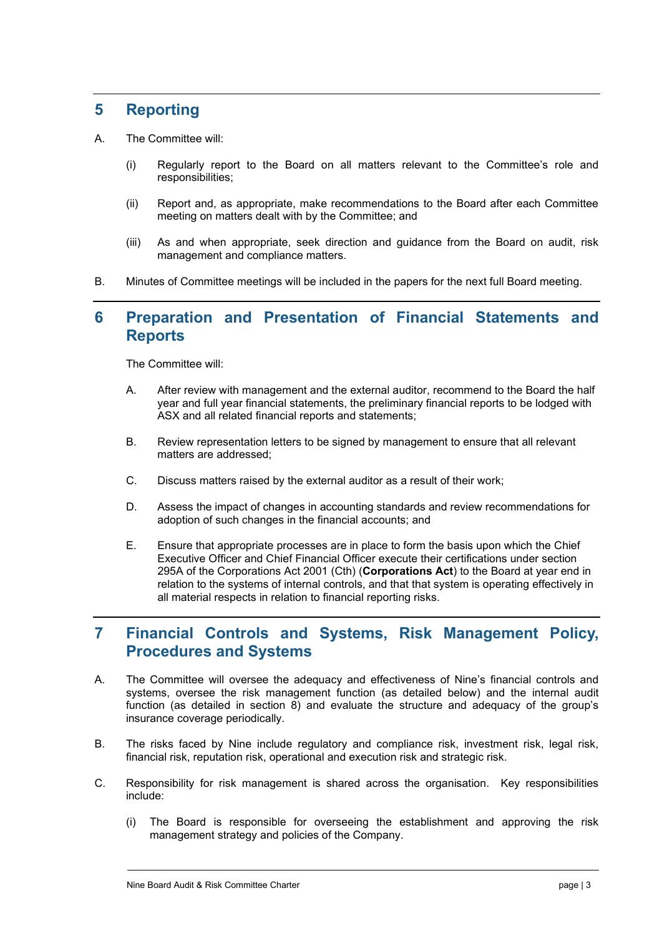## **5 Reporting**

- A. The Committee will:
	- (i) Regularly report to the Board on all matters relevant to the Committee's role and responsibilities;
	- (ii) Report and, as appropriate, make recommendations to the Board after each Committee meeting on matters dealt with by the Committee; and
	- (iii) As and when appropriate, seek direction and guidance from the Board on audit, risk management and compliance matters.
- B. Minutes of Committee meetings will be included in the papers for the next full Board meeting.

### **6 Preparation and Presentation of Financial Statements and Reports**

The Committee will:

- A. After review with management and the external auditor, recommend to the Board the half year and full year financial statements, the preliminary financial reports to be lodged with ASX and all related financial reports and statements;
- B. Review representation letters to be signed by management to ensure that all relevant matters are addressed;
- C. Discuss matters raised by the external auditor as a result of their work;
- D. Assess the impact of changes in accounting standards and review recommendations for adoption of such changes in the financial accounts; and
- E. Ensure that appropriate processes are in place to form the basis upon which the Chief Executive Officer and Chief Financial Officer execute their certifications under section 295A of the Corporations Act 2001 (Cth) (**Corporations Act**) to the Board at year end in relation to the systems of internal controls, and that that system is operating effectively in all material respects in relation to financial reporting risks.

## **7 Financial Controls and Systems, Risk Management Policy, Procedures and Systems**

- A. The Committee will oversee the adequacy and effectiveness of Nine's financial controls and systems, oversee the risk management function (as detailed below) and the internal audit function (as detailed in section 8) and evaluate the structure and adequacy of the group's insurance coverage periodically.
- B. The risks faced by Nine include regulatory and compliance risk, investment risk, legal risk, financial risk, reputation risk, operational and execution risk and strategic risk.
- C. Responsibility for risk management is shared across the organisation. Key responsibilities include:
	- (i) The Board is responsible for overseeing the establishment and approving the risk management strategy and policies of the Company.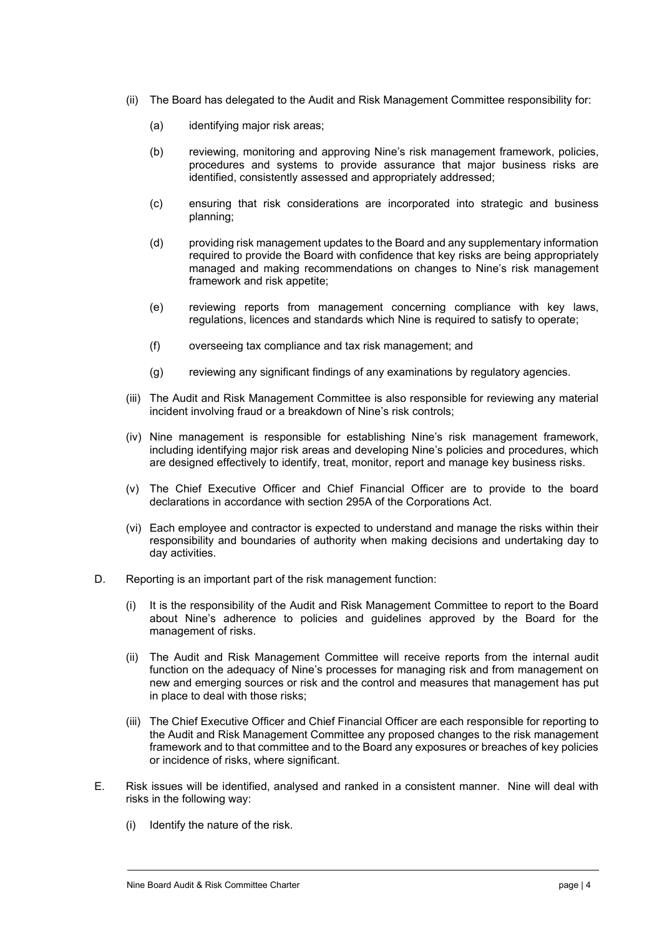- (ii) The Board has delegated to the Audit and Risk Management Committee responsibility for:
	- (a) identifying major risk areas;
	- (b) reviewing, monitoring and approving Nine's risk management framework, policies, procedures and systems to provide assurance that major business risks are identified, consistently assessed and appropriately addressed;
	- (c) ensuring that risk considerations are incorporated into strategic and business planning;
	- (d) providing risk management updates to the Board and any supplementary information required to provide the Board with confidence that key risks are being appropriately managed and making recommendations on changes to Nine's risk management framework and risk appetite;
	- (e) reviewing reports from management concerning compliance with key laws, regulations, licences and standards which Nine is required to satisfy to operate;
	- (f) overseeing tax compliance and tax risk management; and
	- (g) reviewing any significant findings of any examinations by regulatory agencies.
- (iii) The Audit and Risk Management Committee is also responsible for reviewing any material incident involving fraud or a breakdown of Nine's risk controls;
- (iv) Nine management is responsible for establishing Nine's risk management framework, including identifying major risk areas and developing Nine's policies and procedures, which are designed effectively to identify, treat, monitor, report and manage key business risks.
- (v) The Chief Executive Officer and Chief Financial Officer are to provide to the board declarations in accordance with section 295A of the Corporations Act.
- (vi) Each employee and contractor is expected to understand and manage the risks within their responsibility and boundaries of authority when making decisions and undertaking day to day activities.
- D. Reporting is an important part of the risk management function:
	- (i) It is the responsibility of the Audit and Risk Management Committee to report to the Board about Nine's adherence to policies and guidelines approved by the Board for the management of risks.
	- (ii) The Audit and Risk Management Committee will receive reports from the internal audit function on the adequacy of Nine's processes for managing risk and from management on new and emerging sources or risk and the control and measures that management has put in place to deal with those risks;
	- (iii) The Chief Executive Officer and Chief Financial Officer are each responsible for reporting to the Audit and Risk Management Committee any proposed changes to the risk management framework and to that committee and to the Board any exposures or breaches of key policies or incidence of risks, where significant.
- E. Risk issues will be identified, analysed and ranked in a consistent manner. Nine will deal with risks in the following way:
	- (i) Identify the nature of the risk.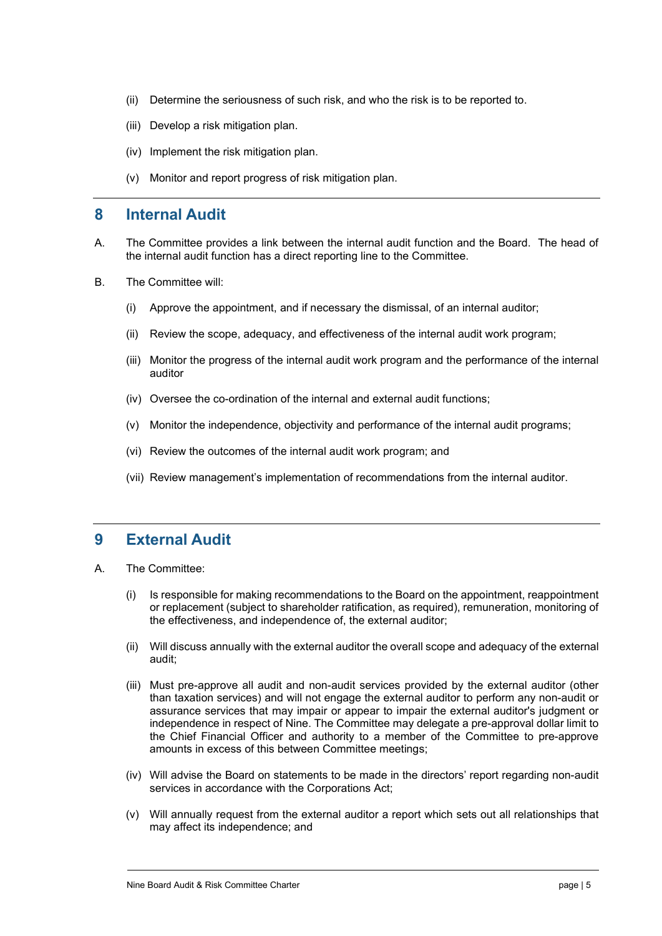- (ii) Determine the seriousness of such risk, and who the risk is to be reported to.
- (iii) Develop a risk mitigation plan.
- (iv) Implement the risk mitigation plan.
- (v) Monitor and report progress of risk mitigation plan.

#### **8 Internal Audit**

- A. The Committee provides a link between the internal audit function and the Board. The head of the internal audit function has a direct reporting line to the Committee.
- B. The Committee will:
	- (i) Approve the appointment, and if necessary the dismissal, of an internal auditor;
	- (ii) Review the scope, adequacy, and effectiveness of the internal audit work program;
	- (iii) Monitor the progress of the internal audit work program and the performance of the internal auditor
	- (iv) Oversee the co-ordination of the internal and external audit functions;
	- (v) Monitor the independence, objectivity and performance of the internal audit programs;
	- (vi) Review the outcomes of the internal audit work program; and
	- (vii) Review management's implementation of recommendations from the internal auditor.

#### **9 External Audit**

- A. The Committee:
	- (i) Is responsible for making recommendations to the Board on the appointment, reappointment or replacement (subject to shareholder ratification, as required), remuneration, monitoring of the effectiveness, and independence of, the external auditor;
	- (ii) Will discuss annually with the external auditor the overall scope and adequacy of the external audit;
	- (iii) Must pre-approve all audit and non-audit services provided by the external auditor (other than taxation services) and will not engage the external auditor to perform any non-audit or assurance services that may impair or appear to impair the external auditor's judgment or independence in respect of Nine. The Committee may delegate a pre-approval dollar limit to the Chief Financial Officer and authority to a member of the Committee to pre-approve amounts in excess of this between Committee meetings;
	- (iv) Will advise the Board on statements to be made in the directors' report regarding non-audit services in accordance with the Corporations Act;
	- (v) Will annually request from the external auditor a report which sets out all relationships that may affect its independence; and